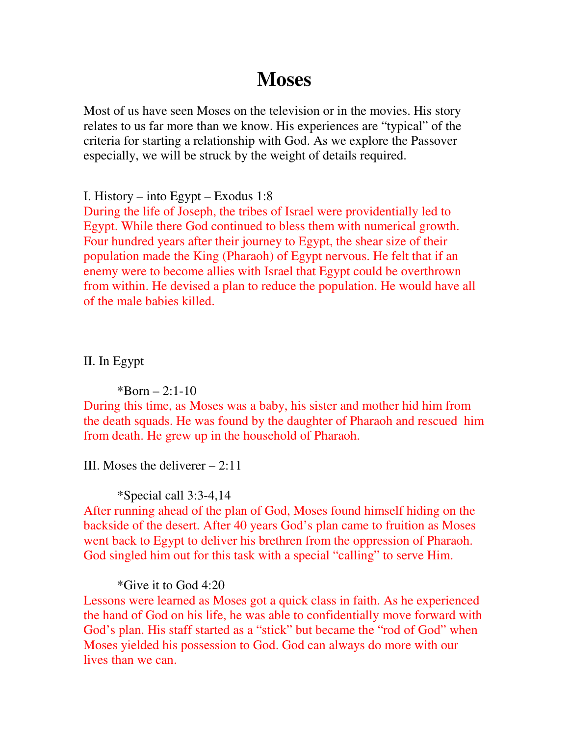# **Moses**

Most of us have seen Moses on the television or in the movies. His story relates to us far more than we know. His experiences are "typical" of the criteria for starting a relationship with God. As we explore the Passover especially, we will be struck by the weight of details required.

I. History – into Egypt – Exodus 1:8

During the life of Joseph, the tribes of Israel were providentially led to Egypt. While there God continued to bless them with numerical growth. Four hundred years after their journey to Egypt, the shear size of their population made the King (Pharaoh) of Egypt nervous. He felt that if an enemy were to become allies with Israel that Egypt could be overthrown from within. He devised a plan to reduce the population. He would have all of the male babies killed.

II. In Egypt

 $*Born - 2:1-10$ 

During this time, as Moses was a baby, his sister and mother hid him from the death squads. He was found by the daughter of Pharaoh and rescued him from death. He grew up in the household of Pharaoh.

III. Moses the deliverer – 2:11

\*Special call 3:3-4,14

After running ahead of the plan of God, Moses found himself hiding on the backside of the desert. After 40 years God's plan came to fruition as Moses went back to Egypt to deliver his brethren from the oppression of Pharaoh. God singled him out for this task with a special "calling" to serve Him.

\*Give it to God 4:20

Lessons were learned as Moses got a quick class in faith. As he experienced the hand of God on his life, he was able to confidentially move forward with God's plan. His staff started as a "stick" but became the "rod of God" when Moses yielded his possession to God. God can always do more with our lives than we can.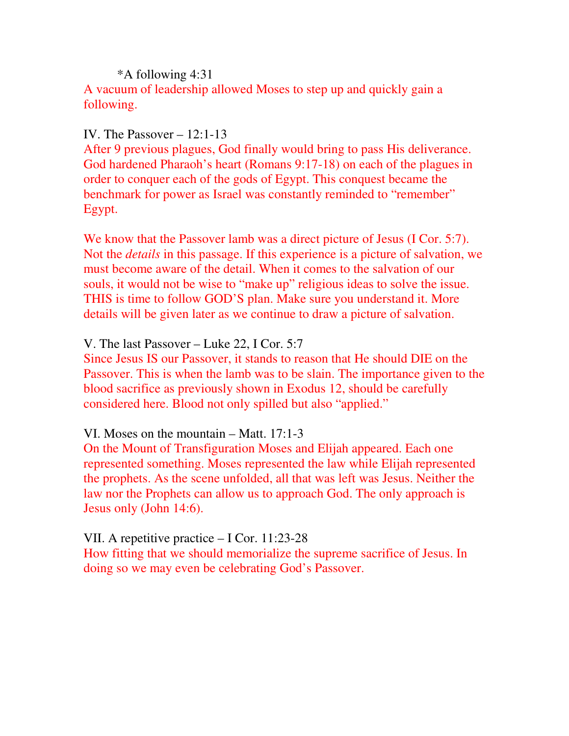## \*A following 4:31 A vacuum of leadership allowed Moses to step up and quickly gain a following.

### IV. The Passover – 12:1-13

After 9 previous plagues, God finally would bring to pass His deliverance. God hardened Pharaoh's heart (Romans 9:17-18) on each of the plagues in order to conquer each of the gods of Egypt. This conquest became the benchmark for power as Israel was constantly reminded to "remember" Egypt.

We know that the Passover lamb was a direct picture of Jesus (I Cor. 5:7). Not the *details* in this passage. If this experience is a picture of salvation, we must become aware of the detail. When it comes to the salvation of our souls, it would not be wise to "make up" religious ideas to solve the issue. THIS is time to follow GOD'S plan. Make sure you understand it. More details will be given later as we continue to draw a picture of salvation.

#### V. The last Passover – Luke 22, I Cor. 5:7

Since Jesus IS our Passover, it stands to reason that He should DIE on the Passover. This is when the lamb was to be slain. The importance given to the blood sacrifice as previously shown in Exodus 12, should be carefully considered here. Blood not only spilled but also "applied."

#### VI. Moses on the mountain – Matt. 17:1-3

On the Mount of Transfiguration Moses and Elijah appeared. Each one represented something. Moses represented the law while Elijah represented the prophets. As the scene unfolded, all that was left was Jesus. Neither the law nor the Prophets can allow us to approach God. The only approach is Jesus only (John 14:6).

## VII. A repetitive practice – I Cor. 11:23-28

How fitting that we should memorialize the supreme sacrifice of Jesus. In doing so we may even be celebrating God's Passover.